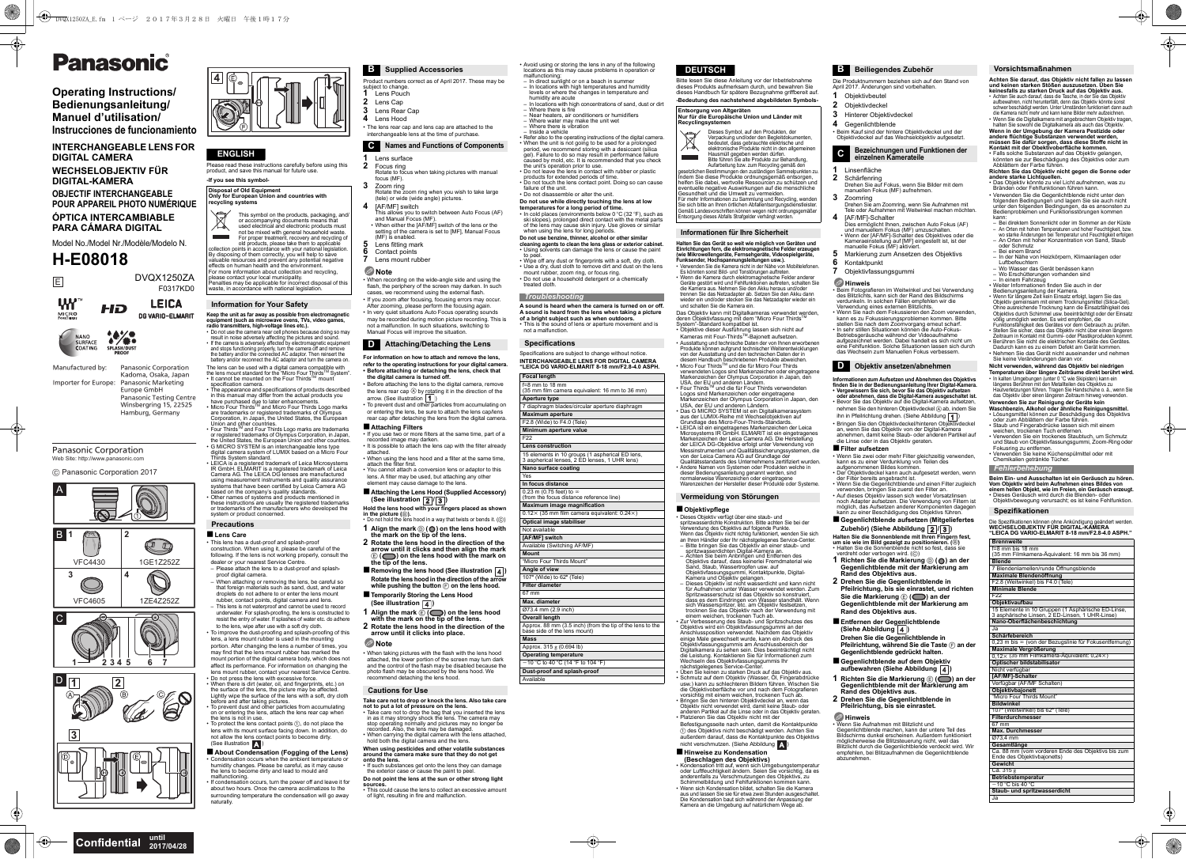Please read these instructions carefully before using this product, and save this manual for future use. **-If you see this symbol-**

result in noise adversely affecting the pictures and sound.<br>• If the camera is adversely affected by electromagnetic equipment<br>and stops functioning properly, turn the camera off and remove<br>the battery and/or the connected battery and/or reconnect the AC adaptor and turn the camera on. The lens can be used with a digital camera compatible with

the lens mount standard for the "Micro Four Thirds™ System".<br>• It cannot be mounted on the Four Thirds™ mount specification camera. The appearance and specifications of products described

in this manual may differ from the actual products you have purchased due to later enhancements.<br>Micro Four Thirds™ and Micro Four Thirds Logo marks • Micro Four Thirds<sup>3</sup> and wicro Four Thirds Logo marks<br>Fare trademarks or registered trademarks of Olympus<br>Corporation, in Japan, the United States, the European<br>Union and other countries.<br>• Four Thirds<sup>TM</sup> and Four Third

or registered trademarks of Olympic Corporation, in Japan,<br>the United States, the European Union and other countries.<br>• G MICRO SYSTEM is an interchangeable lens type<br>digital camera system of LUMIX based on a Micro Four<br>Th

• LEICA is a registered trademark of Leica Microsystems IR GmbH. ELMARIT is a registered trademark of Leica Camera AG. The LEICA DG lenses are manufactured using measurement instruments and quality assurance systems that have been certified by Leica Camera AG based on the company's quality standards. • Other names of systems and products mentioned in these instructions are usually the registered trademarks or trademarks of the manufacturers who developed the system or product concerned.

### ∫**Lens Care**

 • This lens has a dust-proof and splash-proof construction. When using it, please be careful of the following. If the lens is not working properly, consult the dealer or your nearest Service Centre. – Please attach the lens to a dust-proof and splash-

- **2** Focus ring Rotate to focus when taking pictures with manual focus (MF).
- **3**Zoom ring
- Rotate the zoom ring when you wish to take large (tele) or wide (wide angle) pictures. **4**[AF/MF] switch
- This allows you to switch between Auto Focus (AF) and Manual Focus (MF). • When either the [AF/MF] switch of the lens or the setting of the camera is set to [MF], Manual Focus (MF) is enabled.
- **5**Lens fitting mark
- **6**Contact points
- **7**Lens mount rubber

- Before attaching the lens to the digital camera, remove the lens rear cap  $\textcircled{a}$  by rotating it in the direction of the arrow. (See illustration  $\boxed{1}$ )
- To prevent dust and other particles from accumulating on or entering the lens, be sure to attach the lens cap/lens rear cap after detaching the lens from the digital camera.

- If you use two or more filters at the same time, part of a recorded image may darken. • It is possible to attach the lens cap with the filter already
- attached.• When using the lens hood and a filter at the same time,
- attach the filter first. You cannot attach a conversion lens or adaptor to this lens. A filter may be used, but attaching any other element may cause damage to the lens.
- ∫**Attaching the Lens Hood (Supplied Accessory)**  $(See illustration  $\sqrt{2}/\sqrt{3}$ )$

**Hold the lens hood with your fingers placed as shown**  in the picture (*i*).<br>• Do not hold the lens hood in a way that twists or bends it. (*i*c)

- proof digital camera. When attaching or removing the lens, be careful so that foreign materials such as sand, dust, and water droplets do not adhere to or enter the lens mount
- rubber, contact points, digital camera and lens. This lens is not waterproof and cannot be used to record underwater. For splash-proofing, the lens is constructed to resist the entry of water. If splashes of water etc. do adhere
- to the lens, wipe after use with a soft dry cloth. • To improve the dust-proofing and splash-proofing of this lens, a lens mount rubber is used in the mounting portion. After changing the lens a number of times, you may find that the lens mount rubber has marked the may mit that the lene meant rasser has mainted the<br>mount portion of the digital camera body, which does not affect its performance. For information on changing the lens mount rubber, contact your nearest Service Centre.
- Do not press the lens with excessive force. When there is dirt (water, oil, and fingerprints, etc.) on the surface of the lens, the picture may be affected. Lightly wipe the surface of the lens with a soft, dry cloth
- before and after taking pictures. To prevent dust and other particles from accumulating on or entering the lens, attach the lens rear cap when the lens is not in use. • To protect the lens contact points 1, do not place the
- lens with its mount surface facing down. In addition, do not allow the lens contact points to become dirty. (See illustration **A**)
- About Condensation (Fogging of the Lens) • Condensation occurs when the ambient temperature or humidity changes. Please be careful, as it may cause the lens to become dirty and lead to mould and
- malfunctioning. If condensation occurs, turn the power off and leave it for about two hours. Once the camera acclimatizes to the surrounding temperature the condensation will go away naturally.
- **1** Align the mark  $\textcircled{0}$  ( $\textcircled{0}$ ) on the lens hood with the mark on the tip of the lens.
- **2 Rotate the lens hood in the direction of the arrow until it clicks and then align the mark**
- E **( ) on the lens hood with the mark on the tip of the lens.**
- Removing the lens hood (See illustration **4**) **Rotate the lens hood in the direction of the arrow while pushing the button**  F **on the lens hood.**
- ∫**Temporarily Storing the Lens Hood (See illustration**  $\boxed{4}$ **)**
- 
- **1** Align the mark  $\widehat{\mathbb{E}(\mathbb{C})}$  on the lens hood with the mark on the tip of the lens. **2 Rotate the lens hood in the direction of the**
- **arrow until it clicks into place.**

• When taking pictures with the flash with the lens hood attached, the lower portion of the screen may turn dark and the control of the flash may be disabled because the photo flash may be obscured by the lens hood. We mend detaching the lens hood.

- **Take care not to drop or knock the lens. Also take care**
- not to put a lot of pressure on the lens.<br>• Take care not to drop the bag that you inserted the lens<br>in as it may strongly shock the lens. The camera may<br>stop operating normally and pictures may no longer be<br>recorded. Also
- hold both the digital camera and the lens.
- **When using pesticides and other volatile substances around the camera make sure that they do not get**
- **onto the lens.** • If such substances get onto the lens they can damage the exterior case or cause the paint to pe
- **Do not point the lens at the sun or other strong light**
- **sources.**<br>• This could cause the lens to collect an excessive amount<br>of light, resulting in fire and malfunction.
- Product numbers correct as of April 2017. These may be subject to change. **1**Lens Pouch
- Lens Cap Lens Rear Cap
- **4** Lens Hood

**3**

- The lens rear cap and lens cap are attached to the
- interchangeable lens at the time of purchase.

### **1**Lens surface

•• When the unit is not going to be used for a prolonged<br>period, we recommend storing with a desiccant (silica<br>gel). Failure to do so may result in performance failure<br>caused by mold, etc. It is recommended that you check<br> Refer also to the operating instructions of the digital camera. the unit's operation prior to use. • Do not leave the lens in contact with rubber or plastic products for extended periods of time. • Do not touch the lens contact point. Doing so can cause

### **Note**

 • When recording on the wide-angle side and using the flash, the periphery of the screen may darken. In such cases, we recommend using the external flash.

- If you zoom after focusing, focusing errors may occur. After zooming, please perform the focusing again. • In very quiet situations Auto Focus operating sounds may be recorded during motion picture recording. This is
- not a malfunction. In such situations, switching to Manual Focus will improve the situation.

**Halten Sie das Gerät so weit wie möglich von Geräten und**  Einrichtungen fern, die elektromagnetische Felder erzeugen<br>(wie Mikrowellengeräte, Fernsehgeräte, Videospielgeräte,<br>Funksender, Hochspannungsleitungen usw.).<br>• Verwenden Sie die Kamera nicht in der Nähe von Mobiltelefonen

**For information on how to attach and remove the lens, refer to the operating instructions for your digital camera. • Before attaching or detaching the lens, check that the digital camera is turned off.**

Es könnten sonst Bild- und Tonstörungen auftre Wenn die Kamera durch elektromagnetische Felder anderer Geräte gestört wird und Fehlfunktionen auftreten, schalten Sie die Kamera aus. Nehmen Sie den Akku heraus und/oder trennen Sie das Netzadapter ab. Setzen Sie den Akku dann wieder ein und/oder stecken Sie das Netzadapter wieder ein und schalten Sie die Kamera ein.

### ∫**Attaching Filters**

Das Objektiv kann mit Digitalkameras verwendet werden,<br>deren Objektivfassung mit dem "Micro Four Thirds™<br>System"-Standard kompatibel ist.<br>• Objektive dieser Ausführung lassen sich nicht auf<br>∟Kameras mit Four-Thirds™-Bajon • Ausstattung und technische Daten der von Ihnen erworbenen Produkte können aufgrund technischer Weiterentwicklungen<br>von der Ausstattung und den technischen Daten der in<br>diesem Handbuch beschriebenen Produkte abweichen.<br>Micro Four Thirds™ und die für Micro Four Thirds verwendeten Logos sind Markenzeichen oder eingetragene Markenzeichen der Olympus Corporation in Japan, den

USA, der EU und anderen Ländern.<br>• Four Thirds™ und die für Four Thirds verwendeten<br>Logos sind Markenzeichen oder eingetragene<br>Markenzeichen der Olympus Corporation in Japan, den<br>USA, der EU und anderen Ländern.<br>• Das G M

### **Note**

Befestigungsseite nach unten, damit die Kontaktpunkte<br>① des Objektivs nicht beschädigt werden. Achten Sie außerdem darauf, dass die Kontaktpunkte des Objektivs nicht verschmutzen. (Siehe Abbildung ∫**Hinweise zu Kondensation (Beschlagen des Objektivs)**

Fondensation tritt auf, wenn sich Umgebungstemperatur<br>oder Lufteuchtigkeit ändern. Seien Sie vorsichtig, da es<br>anderenfalls zu Verschmutzungen des Objektivs, zu<br>Schimmelbildung und Fehlfunktionen kommen kann.<br>Form sich Kon

- Dies ermöglicht Ihnen, zwischen Auto Fokus (AF)<br>und manuellem Fokus (MF) umzuschalten.<br>• Wenn der [AF/MF]-Schalter des Objektives oder die<br>Kameraeinstellung auf [MF] eingestellt ist, ist der<br>manuelle Fokus (MF) aktiviert.
	-
- Markierung zum Ansetzen des Objektivs Kontaktpunkt
- Objektivfassungsgummi

• Avoid using or storing the lens in any of the following locations as this may cause problems in operation or

- 
- Betriebsgeräusche während der Videoaufnahme
- aufgezeichnet werden. Dabei handelt es sich nicht um eine Fehlfunktion. Solche Situationen lassen sich durch das Wechseln zum Manuellen Fokus verbes
- malfunctioning: In direct sunlight or on a beach in summer – In locations with high temperatures and humidity levels or where the changes in temperature and humidity are acute
- In locations with high concentrations of sand, dust or dirt
- Where there is fire Near heaters, air conditioners or humidifiers Where water may make the unit wet
- Where there is vibration
- Inside a vehicle

- failure of the unit. Do not disassemble or alter the unit.
- 
- 
- **Do not use while directly touching the lens at low<br>temperatures for a long period of time.<br>• In cold places (environments below 0 °C (32 °F), such as<br>· ski slopes), prolonged direct contact with the metal parts** of the lens may cause skin injury. Use gloves or similar when using the lens for long periods.
- **Do not use benzine, thinner, alcohol or other similar<br>cleaning agents to clean the lens glass or exterior cabinet<br>• Using solvents can damage the lens or cause the paint** Using solvents can damage the lens or cause the pain to pee Wipe off any dust or fingerprints with a soft, dry cloth.
- Use a dry, dust cloth to remove dirt and dust on the lens mount rubber, zoom ring, or focus ring. • Do not use a household detergent or a chemically treated cloth.

**A sound is heard when the camera is turned on or off.A sound is heard from the lens when taking a picture of a bright subject such as when outdoors.** • This is the sound of lens or aperture movement and is

not a malfunction.

Specifications are subject to change without notice. **INTERCHANGEABLE LENS FOR DIGITAL CAMERA "LEICA DG VARIO-ELMARIT 8-18 mm/F2.8-4.0 ASPH.**

Bitte lesen Sie diese Anleitung vor der Inbetriebnahme dieses Produkts aufmerksam durch, und bewahren Sie dieses Handbuch für spätere Bezugnahme griffbereit auf. **-Bedeutung des nachstehend abgebildeten Symbols-**

- **andere starke Lichtquellen.**<br>• Das Objektiv könnte zu viel Licht aufnehmen, was zu<br>□ Bränden oder Fehlfunktionen führen kann.<br>• Verwenden Sie die Gegenlichtblende nicht unter den
- folgenden Bedingungen und lagern Sie sie auch nicht unter den folgenden Bedingungen, da es ansonsten zu Bedienproblemen und Funktionsstörungen kommen
- kann:<br>– Bei direktem Sonnenlicht oder im Sommer an der Küste<br>– An Orten mit hohen Temperaturen und hoher Feuchtigkeit, bzw.<br>– Wo starke Änderungen bei Temperatur und Feuchtigkeit erfolger<br>– An Orten mit hoher Konzentration
- 
- oder Schmutz Bei einem Brand
- In der Nähe von Heizkörpern, Klimaanlagen oder Luftbefeuchtern Wo Wasser das Gerät benässen kann
- 
- Wo Erschütterungen vorhanden sin
- In einem Fahrzeug Weiter Informationen finden Sie auch in der
- 
- Bedienungsanleitung der Kamera. Wenn für längere Zeit kein Einsatz erfolgt, lagern Sie das Objektiv gemeinsam mit einem Trocknungsmittel (Silica-Gel).<br>Ohne ausreichende Trocknung kann die Einsatzfähigkeit des<br>Objektivs durch Schimmel usw. beeinträchtigt oder der Einsatz<br>vollig unmöglich werden. Es wird empfohlen
- 
- Stellen Sie sicher, dass das Objektiv nicht über einen längeren<br>2 Editaum in Kontakt mit Gummi- oder Plastikprodukten kommt.<br>• Berühren Sie nicht die elektrischen Kontakte des Gerätes.<br>• Dadurch kann es zu einem Defekt a
- Sie keine Veränderungen daran vor.

 $\boxtimes$ This symbol on the products, packaging, and/ or accompanying documents means that used electrical and electronic products must not be mixed with general household waste. For proper treatment, recovery and recycling of<br>order both products, please take them to applicable<br>collection points in accordance with your national legislation.<br>By disposing of them correctly, you will help to save<br>valu For more information about collection and recycling. please contact your local municipality. Penalties may be applicable for incorrect disposal of this waste, in accordance with national legislation.

> aus der LUMIX-Reihe mit Wechselobjektiven auf Grundlage des Micro-Four-Thirds-Standards. • LEICA ist ein eingetragenes Markenzeichen der Leica Microsystems IR GmbH. ELMARIT ist ein eingetragenes Markenzeichen der Leica Camera AG. Die Herstellung der LEICA DG-Objektive erfolgt unter Verwendung von Messinstrumenten und Qualitätssicherungssystemen, die von der Leica Camera AG auf Grundlage der Qualitätsstandards des Unternehmens zertifiziert wurden. • Andere Namen von Systemen oder Produkten welche in dieser Bedienungsanleitung genannt werden, sind normalerweise Warenzeichen oder eingetragene Warenzeichen der Hersteller dieser Produkte oder Systeme.

> ■ Objektivpflege<br>• Dieses Objektiv verfügt über eine staub- und spritzwasserdichte Konstruktion. Bitte achten Sie bei der Verwendung des Objektivs auf folgende Punkte.<br>Wenn das Objektiv nicht richtig funktioniert, wenden Sie sich<br>an Ihren Händler oder Ihr nächstgelegenes Service-Center.<br>– Bitte bringen Sie das Objektiv an einer staub- und

Kadoma, Osaka, Japan<br>Importer for Europe: Panasonic Marketing **Panasonic Marketing**  Europe GmbH Panasonic Testing Centre Winsbergring 15, 22525 Hamburg, Germany

> Objektivfassungsgummi, Kontaktpunkte, Digital-Kamera und Objektiv gelangen. Dieses Objektiv ist nicht wasserdicht und kann nicht für Aufnahmen unter Wasser verwendet werden. Zum Spritzwasserschutz ist das Objektiv so konstruiert, dass es dem Eindringen von Wasser standhält. Wenn sich Wasserspritzer, etc. am Objektiv festsetzen, trocknen Sie das Objektiv nach der Verwendung mit einem weichen, trockenen Tuch ab. • Zur Verbesserung des Staub- und Spritzschutzes des Objektivs wird ein Objektivfassungsgummi an der Anschlussposition verwendet. Nachdem das Objektiv einige Male gewechselt wurde, kann ein Abdruck des Objektivfassungsgummis am Anschlussbereich der<br>Digitalkamera zu sehen sein. Dies beeinträchtigt nicht<br>die Leistung. Kontaktieren Sie für Informationen zum<br>Wechseln des Objektivfassungsgummis Ihr nächstgelegenes Service-Center.<br>Üben Sie keinen zu starken Druck auf das Objektiv aus. • Schmutz auf dem Objektiv (Wasser, Öl, Fingerabdrücke usw.) kann zu schlechteren Bildern führen. Wischen Sie

> die Objektivoberfläche vor und nach dem Fotografieren<br>vorsichtig mit einem weichen, trockenen Tuch ab.<br>• Bringen Sie den hinteren Objektivdeckel an, wenn das<br>Objektiv nicht verwendet wird, damit keine Staub- oder<br>anderen P



Platzieren Sie das Objektiv nicht mit der

Die Kondensation baut sich während der Anpassung der Kamera an die Umgebung auf natürlichem Wege ab.

Die Produktnummern beziehen sich auf den Stand von April 2017. Änderungen sind vorbehalten.

## **Objektivbeutel**

**1**

### **3** Hinterer Objektivdeckel

**4** Gegenlichtblende

• Beim Kauf sind der hintere Objektivdeckel und der Objektivdeckel auf das Wechselobjektiv aufgesetzt.

**1**

### Linsenfläche

**2**

Schärfenring

Drehen Sie auf Fokus, wenn Sie Bilder mit dem manuellen Fokus (MF) aufnehmen.

**3**

Zoomring

Drehen Sie am Zoomring, wenn Sie Aufnahmen mit Tele oder Aufnahmen mit Weitwinkel machen möchten. [AF/MF]-Schalter

**4**

**5**

**6**

**7**

**Hinweis**

• Beim Fotografieren im Weitwinkel und bei Verwendung des Blitzlichts, kann sich der Rand des Bildschirms

verdunkeln. In solchen Fällen empfehlen wir die<br>Verwendung eines externen Blitzlichts.<br>• Wenn Sie nach dem Fokussieren den Zoom verwenden,<br>kann es zu Fokussierungsproblemen kommen. Bitte<br>stellen Sie nach dem Zoomvorgang er

• Bringen Sie den Objektivdeckel/hinteren Objektivdeckel an, wenn Sie das Objektiv von der Digital-Kamera

abnehmen, damit keine Staub- oder anderen Partikel auf die Linse oder in das Objektiv geraten. ∫**Filter aufsetzen**

- Wenn Sie zwei oder mehr Filter gleichzeitig verwenden, kann es zu einer Verdunklung von Teilen des aufgenommenen Bildes kommen.
	-
- Der Objektivdeckel kann auch aufgesetzt werden, wenn<br>• der Filter bereits angebracht ist.<br>• Wenn Sie die Gegenlichtblende und einen Filter zugleich<br>• verwenden, bringen Sie zuerst den Filter an.<br>• Auf dieses Objektiv las
- noch Adapter aufsetzen. Die Verwendung von Filtern ist möglich, das Aufsetzen anderer Komponenten dagegen kann zu einer Beschädigung des Objektivs führen.

### ∫**Gegenlichtblende aufsetzen (Mitgeliefertes Zubehör) (Siehe Abbildung / )**

**Halten Sie die Sonnenblende mit Ihren Fingern fest,<br>um sie wie im Bild gezeigt zu positionieren. (⑤)<br>◆ Halten Sie die Sonnenblende nicht so fest, dass sie<br>◆ verdreht oder verbogen wird. (⑥)** 

- **1 Richten Sie die Markierung**  D **( ) an der Gegenlichtblende mit der Markierung am Rand des Objektivs aus.**
- **2 Drehen Sie die Gegenlichtblende in Pfeilrichtung, bis sie einrastet, und richten**
- **Sie die Markierung**  E **( ) an der Gegenlichtblende mit der Markierung am**
- **Rand des Objektivs aus.**
- ∫**Entfernen der Gegenlichtblende**
- **(Siehe Abbildung )**
- **Drehen Sie die Gegenlichtblende in**
- **Pfeilrichtung, während Sie die Taste**  F **an der Gegenlichtblende gedrückt halten.**
- ∫**Gegenlichtblende auf dem Objektiv**  aufbewahren (Siehe Abbildung 4)
- **Richten Sie die Markierung**  E **( ) an der Gegenlichtblende mit der Markierung am Rand des Objektivs aus.**
- **2 Drehen Sie die Gegenlichtblende in Pfeilrichtung, bis sie einrastet.**
	-

**1**

**Hinweis**

 • Wenn Sie Aufnahmen mit Blitzlicht und Gegenlichtblende machen, kann der untere Teil des Bildschirms dunkel erscheinen. Außerdem funktioniert möglicherweise die Blitzsteuerung nicht, weil das Blitzlicht durch die Gegenlichtblende verdeckt wird. Wir empfehlen, bei Blitzaufnahmen die Gegenlichtblende abzunehmen. **Achten Sie darauf, das Objektiv nicht fallen zu lassen und keinen starken Stößen auszusetzen. Üben Sie** 

**keinesfalls zu starken Druck auf das Objektiv aus.** • Achten Sie auch darauf, dass die Tasche, in der Sie das Objektiv aufbewahren, nicht herunterfällt, denn das Objektiv könnte sonst schwer beschädigt werden. Unter Umständen funktioniert dann auch die Kamera nicht mehr und kann keine Bilder mehr aufzeichnen.

 Wenn Sie die Digitalkamera mit angebrachtem Objektiv tragen, halten Sie sowohl die Digitalkamera als auch das Objektiv. **Wenn in der Umgebung der Kamera Pestizide oder andere flüchtige Substanzen verwendet werden,** 

**müssen Sie dafür sorgen, dass diese Stoffe nicht in Kontakt mit der Obektivoberfläche kommen.**• Falls solche Substanzen auf das Objektiv gelangen, könnten sie zur Beschädigung des Objektivs oder zum Abblättern der Farbe führen.

**Richten Sie das Objektiv nicht gegen die Sonne oder** 

## **Nicht verwenden, während das Objektiv bei niedrigen**

Temperaturen über längere Zeiträume direkt berührt wird.<br>• In kalten Umgebungen (unter 0 °C wie Skipisten) kann ein<br>• längeres Berühren mit den Metallteilen des Objektivs zu<br>• Hautverletzungen führen. Tragen Sie Handschuhe

- **Verwenden Sie zur Reinigung der Geräte kein Waschbenzin, Alkohol oder ähnliche Reinigungsmittel.** Lösungsmittel können zur Beschädigung des Objektivs oder zum Abblättern der Farbe führen.
- Staub und Fingerabdrücke lassen sich mit einem weichen, trockenen Tuch entfernen. •
- Verwenden Sie ein trockenes Staubtuch, um Schmutz und Staub von Objektivfassungsgummi, Zoom-Ring oder Fokusring zu entfernen.
- Verwenden Sie keine Küchenspülmittel oder mit Chemikalien getränkte Tücher.

Die Spezifikationen können ohne Ankündigung geändert werden. **WECHSELOBJEKTIV FÜR DIGITAL-KAMERA"LEICA DG VARIO-ELMARIT 8-18 mm/F2.8-4.0 ASPH."**

## **Disposal of Old Equipment**

**Only for European Union and countries with recycling systems**

### **Information for Your Safety**

Keep the unit as far away as possible from electromagnetic<br>equipment (such as microwave ovens, TVs, video games,<br>radio transmitters, high-voltage lines etc.).<br>• Do not use the camera near cell phones because doing so may

## **Precautions**

## **ENGLISH**



### **C Names and Functions of Components**

## **D Attaching/Detaching the Lens**

### **Cautions for Use**

*Troubleshooting*

**Specifications**

**Focal length**

f=8 mm to 18 mm (35 mm film camera equivalent: 16 mm to 36 mm)

**Aperture type**

F<sub>22</sub>

7 diaphragm blades/circular aperture diaphragm

**Maximum aperture** F2.8 (Wide) to F4.0 (Tele) **Minimum aperture value**

**Lens construction**

15 elements in 10 groups (1 aspherical ED lens, 3 aspherical lenses, 2 ED lenses, 1 UHR lens)

**Nano surface coating**

Yes

**In focus distance**

**Optical image stabiliser** Not available**[AF/MF] switch** Available (Switching AF/MF)

**Mount**

 "Micro Four Thirds Mount"**Angle of view**  $107^\circ$  (Wide) to  $62^\circ$  (Tele) **Filter diameter** 67 mm **Max. diameter**Ø73.4 mm (2.9 inch) **Overall length**

Approx. 88 mm (3.5 inch) (from the tip of the lens to the

0.23 m (0.75 feet) to  $\infty$ <br>(from the focus distance reference line) **Maximum image magnification**  $0.12 \times (35 \text{ mm film camera equivalent: } 0.24 \times)$ 

base side of the lens mount)

**Mass**

 Approx. 315 g (0.694 lb) **Operating temperature**  $-$  10 °C to 40 °C (14 °F to 104 °F) **Dust-proof and splash-proof**

Available

**Entsorgung von Altgeräten Nur für die Europäische Union und Länder mit** 

**Recyclingsys** 

Dieses Symbol, auf den Produkten, der Verpackung und/oder den Begleitdokumenten, bedeutet, dass gebrauchte elektrische und elektronische Produkte nicht in den allgemeinen

Hausmüll gegeben werden dürfen.<br>Bitte führen Sie alte Produkte zur Behandlung,<br>Aufarbeitung bzw. zum Recycling gemäß den<br>gesetzlichen Bestimmungen den zuständigen Sammelpunkten zu<br>Indem Sie diese Produkte ordnungsgemäß ent helfen Sie dabei, wertvolle Ressourcen zu schützen und eventuelle negative Auswirkungen auf die menschliche Gesundheit und die Umwelt zu vermeiden.Für mehr Informationen zu Sammlung und Recycling, wenden<br>Sie sich bitte an Ihren örtlichen Abfallentsorgungsdienstleister.<br>Gemäß Landesvorschriften können wegen nicht ordnungsgemäßer<br>Entsorgung dieses Abfalls Strafgelder v

**Informationen für Ihre Sicherheit**

2 Objektivdecke

**Vermeidung von Störungen**

spritzwasserdichten Digital-Kamera an.<br>Achten Sie beim Anbringen und Entfernen des<br>Objektivs darauf, dass keinerlei Fremdmaterial wie<br>Sand, Staub, Wassertropfen usw. auf

**DEUTSCH**

### **B Beiliegendes Zubehör**

**C**

# **Bezeichnungen und Funktionen der einzelnen Kamerateile**

## **D Objektiv ansetzen/abnehmen**

Informationen zum Aufsetzen und Abnehmen des Objektivs<br>finden Sie in der Bedienungsanleitung Ihrer Digital-Kamera.<br>• Vergewissern Sie sich, bevor Sie das Objektiv aufsetzen **oder abnehmen, dass die Digital-Kamera ausgeschaltet ist.** • Bevor Sie das Objektiv auf die Digital-Kamera aufsetzen, nehmen Sie den hinteren Objektivdeckel A ab, indem Sie ihn in Pfeilrichtung drehen. (Siehe Abbildung 11)

### **Vorsichtsmaßnahmen**

## *Fehlerbehebung*

Beim Ein- und Ausschalten ist ein Geräusch zu hören<br>Vom Objektiv wird beim Aufnehmen eines Bildes von<br>einem hellen Objekt, wie im Freien, ein Geräusch erzeugt<br>• Dieses Geräusch wird durch die Blenden- oder<br>© Objektivbewegu

**Spezifikationen**

| <b>Brennweite</b>                                           |
|-------------------------------------------------------------|
| $f=8$ mm bis 18 mm                                          |
| (35 mm Filmkamera-Äquivalent: 16 mm bis 36 mm)              |
| <b>Blende</b>                                               |
| 7 Blendenlamellen/runde Öffnungsblende                      |
| Maximale Blendenöffnung                                     |
| F2.8 (Weitwinkel) bis F4.0 (Tele)                           |
| <b>Minimale Blende</b>                                      |
| F22                                                         |
| Objektivaufbau                                              |
| 15 Elemente in 10 Gruppen (1 Asphärische ED-Linse,          |
| 3 asphärische Linsen, 2 ED-Linsen, 1 UHR-Linse)             |
| Nano-Oberflächenbeschichtung                                |
| .Ja                                                         |
| Schärfebereich                                              |
| 0,23 m bis ∞ (von der Bezugslinie für Fokusentfernung)      |
| Maximale Vergrößerung                                       |
| $0.12 \times (35$ mm Filmkamera-Äquivalent: $0.24 \times$ ) |
| Optischer bildstabilisator                                  |
| Nicht verfügbar                                             |
| [AF/MF]-Schalter                                            |
| Verfügbar (AF/MF Schalten)                                  |
| Objektivbajonett                                            |
| "Micro Four Thirds Mount"                                   |
| <b>Bildwinkel</b>                                           |
| 107° (Weitwinkel) bis 62° (Tele)                            |
| <b>Filterdurchmesser</b>                                    |
| 67 mm                                                       |
| Max. Durchmesser                                            |
| Ø73.4 mm                                                    |
| Gesamtlänge                                                 |
| Ca. 88 mm (vom vorderen Ende des Objektivs bis zum          |
| Ende des Objektivbajonetts)                                 |
| Gewicht                                                     |
| Ca. 315 g                                                   |
| Betriebstemperatur                                          |
| $-10$ °C bis 40 °C                                          |
| Staub- und spritzwasserdicht                                |
| Ja.                                                         |

# **Panasonic**

**Operating Instructions/ Bedienungsanleitung/ Manuel d'utilisation/Instrucciones de funcionamiento**

**INTERCHANGEABLE LENS FOR DIGITAL CAMERAWECHSELOBJEKTIV FÜR DIGITAL-KAMERAOBJECTIF INTERCHANGEABLE** 

 **POUR APPAREIL PHOTO NUMÉRIQUE ÓPTICA INTERCAMBIABLE PARA CÁMARA DIGITAL**

Model No./Model Nr./Modèle/Modelo N.

# **H-E08018**

Manufactured by: Panasonic Corporation

DVQX1250ZAF0317KD0





E

### Panasonic Corporation Web Site: http://www.panasonic.com

Panasonic Corporation 2017